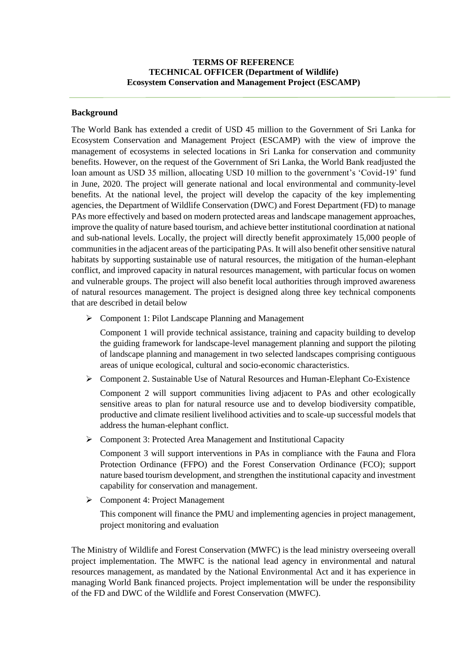# **TERMS OF REFERENCE TECHNICAL OFFICER (Department of Wildlife) Ecosystem Conservation and Management Project (ESCAMP)**

#### **Background**

The World Bank has extended a credit of USD 45 million to the Government of Sri Lanka for Ecosystem Conservation and Management Project (ESCAMP) with the view of improve the management of ecosystems in selected locations in Sri Lanka for conservation and community benefits. However, on the request of the Government of Sri Lanka, the World Bank readjusted the loan amount as USD 35 million, allocating USD 10 million to the government's 'Covid-19' fund in June, 2020. The project will generate national and local environmental and community-level benefits. At the national level, the project will develop the capacity of the key implementing agencies, the Department of Wildlife Conservation (DWC) and Forest Department (FD) to manage PAs more effectively and based on modern protected areas and landscape management approaches, improve the quality of nature based tourism, and achieve better institutional coordination at national and sub-national levels. Locally, the project will directly benefit approximately 15,000 people of communities in the adjacent areas of the participating PAs. It will also benefit other sensitive natural habitats by supporting sustainable use of natural resources, the mitigation of the human-elephant conflict, and improved capacity in natural resources management, with particular focus on women and vulnerable groups. The project will also benefit local authorities through improved awareness of natural resources management. The project is designed along three key technical components that are described in detail below

Component 1: Pilot Landscape Planning and Management

Component 1 will provide technical assistance, training and capacity building to develop the guiding framework for landscape-level management planning and support the piloting of landscape planning and management in two selected landscapes comprising contiguous areas of unique ecological, cultural and socio-economic characteristics.

Component 2. Sustainable Use of Natural Resources and Human-Elephant Co-Existence

Component 2 will support communities living adjacent to PAs and other ecologically sensitive areas to plan for natural resource use and to develop biodiversity compatible, productive and climate resilient livelihood activities and to scale-up successful models that address the human-elephant conflict.

Component 3: Protected Area Management and Institutional Capacity

Component 3 will support interventions in PAs in compliance with the Fauna and Flora Protection Ordinance (FFPO) and the Forest Conservation Ordinance (FCO); support nature based tourism development, and strengthen the institutional capacity and investment capability for conservation and management.

Component 4: Project Management

This component will finance the PMU and implementing agencies in project management, project monitoring and evaluation

The Ministry of Wildlife and Forest Conservation (MWFC) is the lead ministry overseeing overall project implementation. The MWFC is the national lead agency in environmental and natural resources management, as mandated by the National Environmental Act and it has experience in managing World Bank financed projects. Project implementation will be under the responsibility of the FD and DWC of the Wildlife and Forest Conservation (MWFC).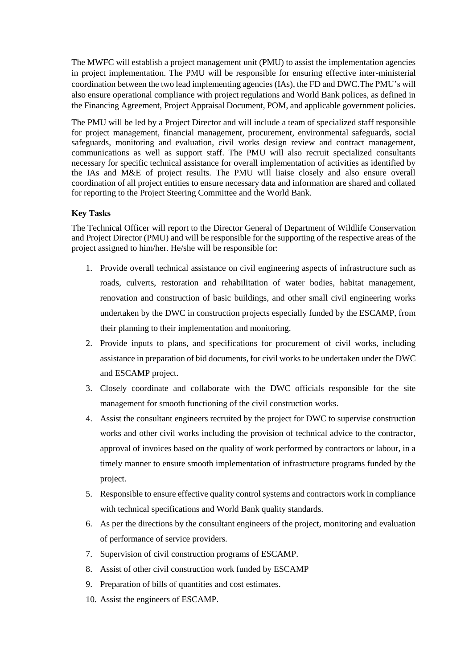The MWFC will establish a project management unit (PMU) to assist the implementation agencies in project implementation. The PMU will be responsible for ensuring effective inter-ministerial coordination between the two lead implementing agencies (IAs), the FD and DWC.The PMU's will also ensure operational compliance with project regulations and World Bank polices, as defined in the Financing Agreement, Project Appraisal Document, POM, and applicable government policies.

The PMU will be led by a Project Director and will include a team of specialized staff responsible for project management, financial management, procurement, environmental safeguards, social safeguards, monitoring and evaluation, civil works design review and contract management, communications as well as support staff. The PMU will also recruit specialized consultants necessary for specific technical assistance for overall implementation of activities as identified by the IAs and M&E of project results. The PMU will liaise closely and also ensure overall coordination of all project entities to ensure necessary data and information are shared and collated for reporting to the Project Steering Committee and the World Bank.

# **Key Tasks**

The Technical Officer will report to the Director General of Department of Wildlife Conservation and Project Director (PMU) and will be responsible for the supporting of the respective areas of the project assigned to him/her. He/she will be responsible for:

- 1. Provide overall technical assistance on civil engineering aspects of infrastructure such as roads, culverts, restoration and rehabilitation of water bodies, habitat management, renovation and construction of basic buildings, and other small civil engineering works undertaken by the DWC in construction projects especially funded by the ESCAMP, from their planning to their implementation and monitoring.
- 2. Provide inputs to plans, and specifications for procurement of civil works, including assistance in preparation of bid documents, for civil works to be undertaken under the DWC and ESCAMP project.
- 3. Closely coordinate and collaborate with the DWC officials responsible for the site management for smooth functioning of the civil construction works.
- 4. Assist the consultant engineers recruited by the project for DWC to supervise construction works and other civil works including the provision of technical advice to the contractor, approval of invoices based on the quality of work performed by contractors or labour, in a timely manner to ensure smooth implementation of infrastructure programs funded by the project.
- 5. Responsible to ensure effective quality control systems and contractors work in compliance with technical specifications and World Bank quality standards.
- 6. As per the directions by the consultant engineers of the project, monitoring and evaluation of performance of service providers.
- 7. Supervision of civil construction programs of ESCAMP.
- 8. Assist of other civil construction work funded by ESCAMP
- 9. Preparation of bills of quantities and cost estimates.
- 10. Assist the engineers of ESCAMP.